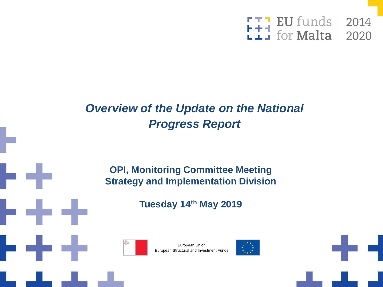

## *Overview of the Update on the National Progress Report*

#### **OPI, Monitoring Committee Meeting Strategy and Implementation Division**

**Tuesday 14th May 2019**



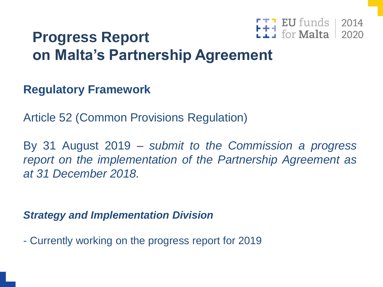#### **EU** funds | 2014 for **Malta** 2020

## **Progress Report on Malta's Partnership Agreement**

### **Regulatory Framework**

Article 52 (Common Provisions Regulation)

By 31 August 2019 – *submit to the Commission a progress report on the implementation of the Partnership Agreement as at 31 December 2018.*

*Strategy and Implementation Division*

- Currently working on the progress report for 2019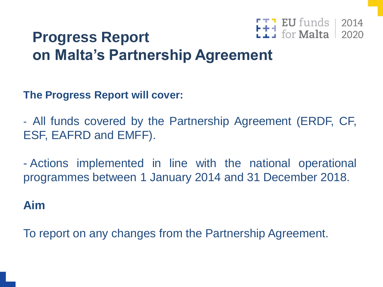#### EU funds | 2014 for **Malta** 2020

## **Progress Report on Malta's Partnership Agreement**

**The Progress Report will cover:**

- All funds covered by the Partnership Agreement (ERDF, CF, ESF, EAFRD and EMFF).

- Actions implemented in line with the national operational programmes between 1 January 2014 and 31 December 2018.

### **Aim**

To report on any changes from the Partnership Agreement.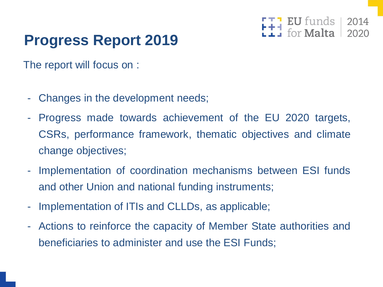# **Progress Report 2019**

The report will focus on :

- Changes in the development needs;
- Progress made towards achievement of the EU 2020 targets, CSRs, performance framework, thematic objectives and climate change objectives;

2014

- Implementation of coordination mechanisms between ESI funds and other Union and national funding instruments;
- Implementation of ITIs and CLLDs, as applicable;
- Actions to reinforce the capacity of Member State authorities and beneficiaries to administer and use the ESI Funds;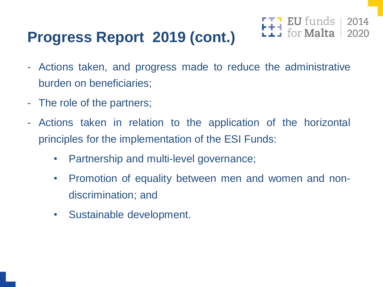# **Progress Report 2019 (cont.)**

- Actions taken, and progress made to reduce the administrative burden on beneficiaries;

**EU** funds

 $for$  Malta

2014

- The role of the partners;
- Actions taken in relation to the application of the horizontal principles for the implementation of the ESI Funds:
	- Partnership and multi-level governance;
	- Promotion of equality between men and women and nondiscrimination; and
	- Sustainable development.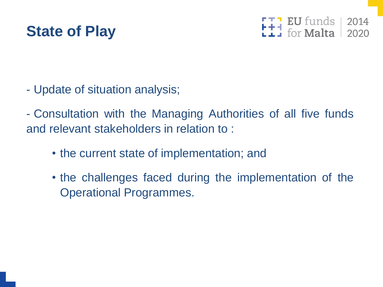

 $F + 1$  EU funds<br> $F + 1$  for Malta  $\begin{array}{|c|c|}\n 2014 \\
 2020\n \end{array}$ 

- Update of situation analysis;

- Consultation with the Managing Authorities of all five funds and relevant stakeholders in relation to :

- the current state of implementation; and
- the challenges faced during the implementation of the Operational Programmes.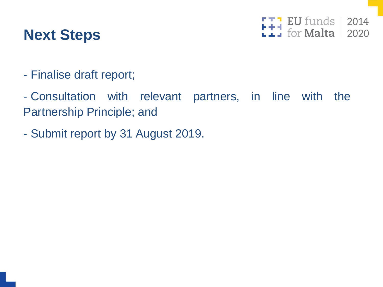

**FIP EU funds**<br>**Lip** for **Malta** 2014<br>2020

- Finalise draft report;
- Consultation with relevant partners, in line with the Partnership Principle; and
- Submit report by 31 August 2019.